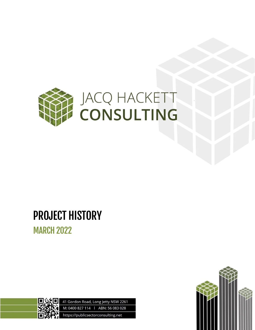

# PROJECT HISTORY

MARCH 2022



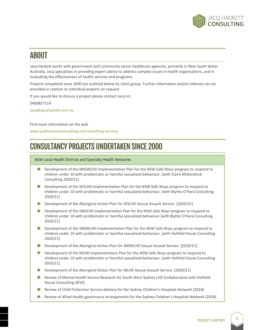

# ABOUT

Jacq Hackett works with government and community sector healthcare agencies, primarily in New South Wales Australia. Jacq specialises in providing expert advice to address complex issues in health organisations, and in evaluating the effectiveness of health services and programs.

Projects completed since 2000 are outlined below by client group. Further information and/or referees can be provided in relation to individual projects on request.

If you would like to discuss a project please contact Jacq on:

0400827114

[jacq@jacqhackett.com.au](mailto:jacq@jacqhackett.com.au)

Find more information on the web

[www.publicsectorconsulting.net/consulting](http://www.publicsectorconsulting.net/consulting) services

# CONSULTANCY PROJECTS UNDERTAKEN SINCE 2000

# NSW Local Health Districts and Specialty Health Networks

- Development of the NNSWLHD Implementation Plan for the NSW Safe Wayz program to respond to children under 10 with problematic or harmful sexualized behaviour. [with Claire McKendrick Consulting 2020/21]
- Development of the SESLHD Implementation Plan for the NSW Safe Wayz program to respond to children under 10 with problematic or harmful sexualized behaviour. [with Blythe O'Hara Consulting 2020/21]
- **Development of the Aboriginal Action Plan for SESLHD Sexual Assault Service.** [2020/21]
- Development of the SWSLHD Implementation Plan for the NSW Safe Wayz program to respond to  $\bullet$  . children under 10 with problematic or harmful sexualized behaviour [with Blythe O'Hara Consulting 2020/21]
- Development of the SNSWLHD Implementation Plan for the NSW Safe Wayz program to respond to children under 10 with problematic or harmful sexualized behaviour. [with Hatfield House Consulting 2020/21]
- **Development of the Aboriginal Action Plan for SNSWLHD Sexual Assault Service.** [2020/21]
- Development of the MLHD Implementation Plan for the NSW Safe Wayz program to respond to children under 10 with problematic or harmful sexualized behaviour. [with Hatfield House Consulting 2020/21]
- Development of the Aboriginal Action Plan for MLHD Sexual Assault Service. [2020/21]
- Review of Mental Health Service Research for South West Sydney LHD [collaboration with Hatfield House Consulting 2019]
- Review of Child Protection Service delivery for the Sydney Children's Hospitals Network [2018]
- Review of Allied Health governance arrangements for the Sydney Children's Hospitals Network [2018]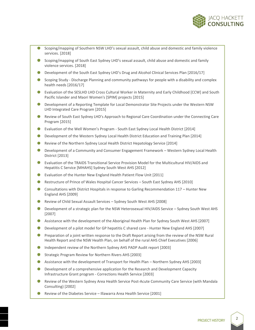

- Scoping/mapping of Southern NSW LHD's sexual assault, child abuse and domestic and family violence services. [2018]
- Scoping/mapping of South East Sydney LHD's sexual assault, child abuse and domestic and family violence services. [2018]
- **Development of the South East Sydney LHD's Drug and Alcohol Clinical Services Plan [2016/17]**
- **Scoping Study Discharge Planning and community pathways for people with a disability and complex** health needs [2016/17]
- Evaluation of the SESLHD LHD Cross Cultural Worker in Maternity and Early Childhood [CCW] and South Pacific Islander and Maori Women's [SPIM] projects [2015]
- Development of a Reporting Template for Local Demonstrator Site Projects under the Western NSW LHD Integrated Care Program [2015]
- Review of South East Sydney LHD's Approach to Regional Care Coordination under the Connecting Care Program [2015]
- Evaluation of the Well Women's Program South East Sydney Local Health District [2014]
- **Development of the Western Sydney Local Health District Education and Training Plan [2014]**
- Review of the Northern Sydney Local Health District Hepatology Service [2014]  $\bullet$  .
- $\bullet$  . Development of a Community and Consumer Engagement Framework – Western Sydney Local Health District [2013]
- Evaluation of the TRAIDS Transitional Service Provision Model for the Multicultural HIV/AIDS and Hepatitis C Service [MHAHS] Sydney South West AHS [2012]
- Evaluation of the Hunter New England Health Patient Flow Unit [2011]
- Restructure of Prince of Wales Hospital Cancer Services South East Sydney AHS [2010]
- Consultations with District Hospitals in response to Garling Recommendation 117 Hunter New England AHS [2009]
- Review of Child Sexual Assault Services Sydney South West AHS [2008]
- **Development of a strategic plan for the NSW Heterosexual HIV/AIDS Service Sydney South West AHS** [2007]
- Assistance with the development of the Aboriginal Health Plan for Sydney South West AHS [2007]
- $\bullet$ Development of a pilot model for GP hepatitis C shared care - Hunter New England AHS [2007]
- Preparation of a joint written response to the Draft Report arising from the review of the NSW Rural Health Report and the NSW Health Plan, on behalf of the rural AHS Chief Executives [2006]
- Independent review of the Northern Sydney AHS PADP Audit report [2003]
- ۰ Strategic Program Review for Northern Rivers AHS [2003]
- Assistance with the development of Transport for Health Plan Northern Sydney AHS [2003]
- $\bullet$  . Development of a comprehensive application for the Research and Development Capacity Infrastructure Grant program - Corrections Health Service [2003]
- Review of the Western Sydney Area Health Service Post-Acute Community Care Service (with Mandala Consulting) [2002]
- Review of the Diabetes Service Illawarra Area Health Service [2001]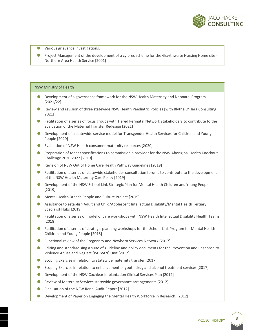

- Various grievance investigations.
- Project Management of the development of a cy pres scheme for the Graythwaite Nursing Home site Northern Area Health Service [2001]

## NSW Ministry of Health

- Development of a governance framework for the NSW Health Maternity and Neonatal Program [2021/22]
- Review and revision of three statewide NSW Health Paediatric Policies [with Blythe O'Hara Consulting 2021]
- **•** Facilitation of a series of focus groups with Tiered Perinatal Network stakeholders to contribute to the evaluation of the Maternal Transfer Redesign [2021]
- **Development of a statewide service model for Transgender Health Services for Children and Young** People [2020]
- Evaluation of NSW Health consumer maternity resources [2020]
- Preparation of tender specifications to commission a provider for the NSW Aboriginal Health Knockout Challenge 2020-2022 [2019]
- Revision of NSW Out of Home Care Health Pathway Guidelines [2019]
- **Facilitation of a series of statewide stakeholder consultation forums to contribute to the development** of the NSW Health Maternity Care Policy [2019]
- **Development of the NSW School-Link Strategic Plan for Mental Health Children and Young People** [2019]
- Mental Health Branch People and Culture Project [2019]
- Assistance to establish Adult and Child/Adolescent Intellectual Disability/Mental Health Tertiary Specialist Hubs [2019]
- **•** Facilitation of a series of model of care workshops with NSW Health Intellectual Disability Health Teams [2018]
- **Facilitation of a series of strategic planning workshops for the School-Link Program for Mental Health** Children and Young People [2018]
- **C** Functional review of the Pregnancy and Newborn Services Network [2017]
- **E** Editing and standardising a suite of guideline and policy documents for the Prevention and Response to Violence Abuse and Neglect [PARVAN] Unit [2017].
- Scoping Exercise in relation to statewide maternity transfer [2017]
- Scoping Exercise in relation to enhancement of youth drug and alcohol treatment services [2017] ۰
- Development of the NSW Cochlear Implantation Clinical Services Plan [2012]  $\bullet$  .
- Review of Maternity Services statewide governance arrangements [2012]
- ٠ Finalisation of the NSW Renal Audit Report [2012]
- **Development of Paper on Engaging the Mental Health Workforce in Research.** [2012]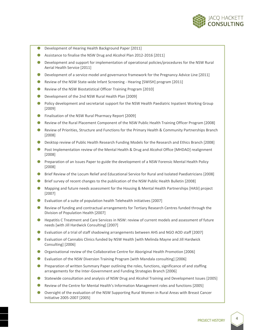

- ۸ Development of Hearing Health Background Paper [2011]
- ۸ Assistance to finalise the NSW Drug and Alcohol Plan 2012-2016 [2011]
- Development and support for implementation of operational policies/procedures for the NSW Rural Aerial Health Service [2011]
- Development of a service model and governance framework for the Pregnancy Advice Line [2011]
- ۰ Review of the NSW State-wide Infant Screening - Hearing [SWISH] program [2011]
- Review of the NSW Biostatistical Officer Training Program [2010]
- ۰ Development of the 2nd NSW Rural Health Plan [2009]
- Policy development and secretariat support for the NSW Health Paediatric Inpatient Working Group [2009]
- Finalisation of the NSW Rural Pharmacy Report [2009]  $\bullet$  .
- ۰ Review of the Rural Placement Component of the NSW Public Health Training Officer Program [2008]
- Review of Priorities, Structure and Functions for the Primary Health & Community Partnerships Branch [2008]
- Desktop review of Public Health Research Funding Models for the Research and Ethics Branch [2008] .
- Post Implementation review of the Mental Health & Drug and Alcohol Office [MHDAO] realignment . [2008]
- Preparation of an Issues Paper to guide the development of a NSW Forensic Mental Health Policy [2008]
- Brief Review of the Locum Relief and Educational Service for Rural and Isolated Paediatricians [2008]
- Brief survey of recent changes to the publication of the NSW Public Health Bulletin [2008]
- ۰ Mapping and future needs assessment for the Housing & Mental Health Partnerships [HASI] project [2007]
- Evaluation of a suite of population health Telehealth initiatives [2007]  $\bullet$  .
- Review of funding and contractual arrangements for Tertiary Research Centres funded through the Division of Population Health [2007]
- Hepatitis C Treatment and Care Services in NSW: review of current models and assessment of future needs [with Jill Hardwick Consulting] [2007]
- Evaluation of a trial of staff shadowing arrangements between AHS and NGO AOD staff [2007]
- Evaluation of Cannabis Clinics funded by NSW Health [with Melinda Mayne and Jill Hardwick Consulting] [2006]
- Organisational review of the Collaborative Centre for Aboriginal Health Promotion [2006] .
- $\bullet$ Evaluation of the NSW Diversion Training Program [with Mandala consulting] [2006]
- Preparation of written Summary Paper outlining the roles, functions, significance of and staffing arrangements for the Inter-Government and Funding Strategies Branch [2006]
- Statewide consultation and analysis of NSW Drug and Alcohol Training and Development Issues [2005]
- . Review of the Centre for Mental Health's Information Management roles and functions [2005]
- Oversight of the evaluation of the NSW Supporting Rural Women in Rural Areas with Breast Cancer Initiative 2005-2007 [2005]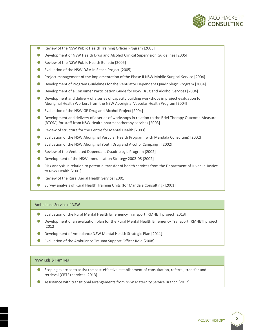

- Review of the NSW Public Health Training Officer Program [2005]
- $\bullet$ Development of NSW Health Drug and Alcohol Clinical Supervision Guidelines [2005]
- ۰ Review of the NSW Public Health Bulletin [2005]
- ۰ Evaluation of the NSW D&A In Reach Project [2005]
- Project management of the implementation of the Phase II NSW Mobile Surgical Service [2004]
- Development of Program Guidelines for the Ventilator Dependent Quadriplegic Program [2004]  $\bullet$  .
- Development of a Consumer Participation Guide for NSW Drug and Alcohol Services [2004] ۰
- Development and delivery of a series of capacity building workshops in project evaluation for Aboriginal Health Workers from the NSW Aboriginal Vascular Health Program [2004]
- Evaluation of the NSW GP Drug and Alcohol Project [2004]  $\bullet$  .
- Development and delivery of a series of workshops in relation to the Brief Therapy Outcome Measure [BTOM] for staff from NSW Health pharmacotherapy services [2003]
- $\bullet$  . Review of structure for the Centre for Mental Health [2003]
- $\bullet$  . Evaluation of the NSW Aboriginal Vascular Health Program (with Mandala Consulting) [2002]
- Evaluation of the NSW Aboriginal Youth Drug and Alcohol Campaign. [2002]
- $\bullet$  . Review of the Ventilated Dependant Quadriplegic Program [2002]
- Development of the NSW Immunisation Strategy 2002-05 [2002]
- Risk analysis in relation to potential transfer of health services from the Department of Juvenile Justice to NSW Health [2001]
- Review of the Rural Aerial Health Service [2001]
- ۰ Survey analysis of Rural Health Training Units (for Mandala Consulting) [2001]

#### Ambulance Service of NSW

- Evaluation of the Rural Mental Health Emergency Transport [RMHET] project [2013]
- Development of an evaluation plan for the Rural Mental Health Emergency Transport [RMHET] project [2012]
- Development of Ambulance NSW Mental Health Strategic Plan [2011]
- Evaluation of the Ambulance Trauma Support Officer Role [2008]

## NSW Kids & Families

- ۰ Scoping exercise to assist the cost-effective establishment of consultation, referral, transfer and retrieval (CRTR) services [2013]
- Assistance with transitional arrangements from NSW Maternity Service Branch [2012]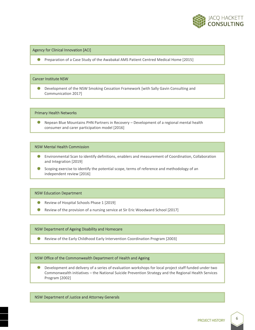

# Agency for Clinical Innovation [ACI]

**Preparation of a Case Study of the Awabakal AMS Patient Centred Medical Home [2015]** 

#### Cancer Institute NSW

۰ Development of the NSW Smoking Cessation Framework [with Sally Gavin Consulting and Communication 2017]

#### Primary Health Networks

Nepean Blue Mountains PHN Partners in Recovery – Development of a regional mental health ۰ consumer and carer participation model [2016]

## NSW Mental Health Commission

- Environmental Scan to identify definitions, enablers and measurement of Coordination, Collaboration and Integration [2019]
- **Scoping exercise to identify the potential scope, terms of reference and methodology of an** independent review [2016]

## NSW Education Department

- Review of Hospital Schools Phase 1 [2019]
- . Review of the provision of a nursing service at Sir Eric Woodward School [2017]

## NSW Department of Ageing Disability and Homecare

 $\bullet$ Review of the Early Childhood Early Intervention Coordination Program [2003]

# NSW Office of the Commonwealth Department of Health and Ageing

Development and delivery of a series of evaluation workshops for local project staff funded under two 0 Commonwealth initiatives – the National Suicide Prevention Strategy and the Regional Health Services Program [2002]

## NSW Department of Justice and Attorney Generals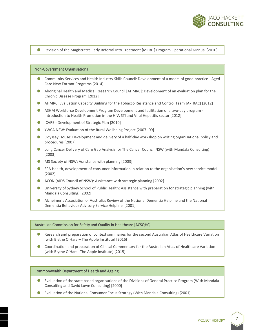

#### **Revision of the Magistrates Early Referral Into Treatment [MERIT] Program Operational Manual [2010]**

#### Non-Government Organisations

- 0 Community Services and Health Industry Skills Council: Development of a model of good practice - Aged Care New Entrant Programs [2014]
- Aboriginal Health and Medical Research Council [AHMRC]: Development of an evaluation plan for the Chronic Disease Program [2012]
- AHMRC: Evaluation Capacity Building for the Tobacco Resistance and Control Team [A-TRAC] [2012]
- ASHM Workforce Development Program Development and facilitation of a two-day program Introduction to Health Promotion in the HIV, STI and Viral Hepatitis sector [2012]
- **ICARE Development of Strategic Plan [2010]**
- YWCA NSW: Evaluation of the Rural Wellbeing Project [2007 -09]
- Odyssey House: Development and delivery of a half-day workshop on writing organisational policy and procedures [2007]
- Lung Cancer Delivery of Care Gap Analysis for The Cancer Council NSW (with Mandala Consulting) [2003]
- **MS Society of NSW: Assistance with planning [2003]**
- **FPA Health, development of consumer information in relation to the organisation's new service model** [2002]
- ACON (AIDS Council of NSW): Assistance with strategic planning [2002]
- University of Sydney School of Public Health: Assistance with preparation for strategic planning (with Mandala Consulting) [2002]
- Alzheimer's Association of Australia: Review of the National Dementia Helpline and the National Dementia Behaviour Advisory Service Helpline [2001]

#### Australian Commission for Safety and Quality in Healthcare [ACSQHC]

- Research and preparation of context summaries for the second Australian Atlas of Healthcare Variation [with Blythe O'Hara – The Apple Institute] [2016]
- Coordination and preparation of Clinical Commentary for the Australian Atlas of Healthcare Variation [with Blythe O'Hara -The Apple Institute] [2015]

#### Commonwealth Department of Health and Ageing

- Evaluation of the state based organisations of the Divisions of General Practice Program (With Mandala Consulting and David Lowe Consulting) [2000]
- Evaluation of the National Consumer Focus Strategy (With Mandala Consulting) [2001]